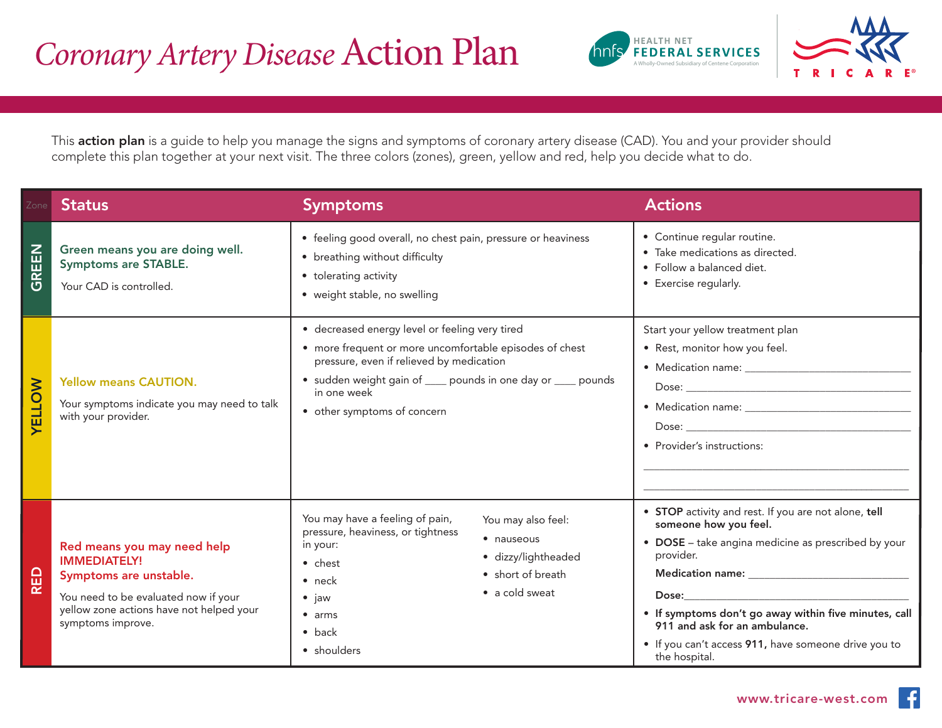



This action plan is a guide to help you manage the signs and symptoms of coronary artery disease (CAD). You and your provider should complete this plan together at your next visit. The three colors (zones), green, yellow and red, help you decide what to do.

| Zone                                   | <b>Status</b>                                                                                                                                                                         | <b>Symptoms</b>                                                                                                                                                                                                                                                                       | <b>Actions</b>                                                                                                                                                                                                                                                                                                       |
|----------------------------------------|---------------------------------------------------------------------------------------------------------------------------------------------------------------------------------------|---------------------------------------------------------------------------------------------------------------------------------------------------------------------------------------------------------------------------------------------------------------------------------------|----------------------------------------------------------------------------------------------------------------------------------------------------------------------------------------------------------------------------------------------------------------------------------------------------------------------|
| <b>REEN</b><br>$\overline{\mathbf{C}}$ | Green means you are doing well.<br><b>Symptoms are STABLE.</b><br>Your CAD is controlled.                                                                                             | • feeling good overall, no chest pain, pressure or heaviness<br>• breathing without difficulty<br>• tolerating activity<br>• weight stable, no swelling                                                                                                                               | • Continue regular routine.<br>· Take medications as directed.<br>· Follow a balanced diet.<br>• Exercise regularly.                                                                                                                                                                                                 |
| <b>VELLOW</b>                          | <b>Yellow means CAUTION.</b><br>Your symptoms indicate you may need to talk<br>with your provider.                                                                                    | · decreased energy level or feeling very tired<br>• more frequent or more uncomfortable episodes of chest<br>pressure, even if relieved by medication<br>• sudden weight gain of ____ pounds in one day or ____ pounds<br>in one week<br>• other symptoms of concern                  | Start your yellow treatment plan<br>• Rest, monitor how you feel.<br>• Provider's instructions:                                                                                                                                                                                                                      |
| RED                                    | Red means you may need help<br><b>IMMEDIATELY!</b><br>Symptoms are unstable.<br>You need to be evaluated now if your<br>yellow zone actions have not helped your<br>symptoms improve. | You may have a feeling of pain,<br>You may also feel:<br>pressure, heaviness, or tightness<br>• nauseous<br>in your:<br>· dizzy/lightheaded<br>$\bullet$ chest<br>• short of breath<br>$\bullet$ neck<br>• a cold sweat<br>$\bullet$ jaw<br>$•$ arms<br>$\bullet$ back<br>• shoulders | • STOP activity and rest. If you are not alone, tell<br>someone how you feel.<br>• DOSE - take angina medicine as prescribed by your<br>provider.<br>. If symptoms don't go away within five minutes, call<br>911 and ask for an ambulance.<br>• If you can't access 911, have someone drive you to<br>the hospital. |